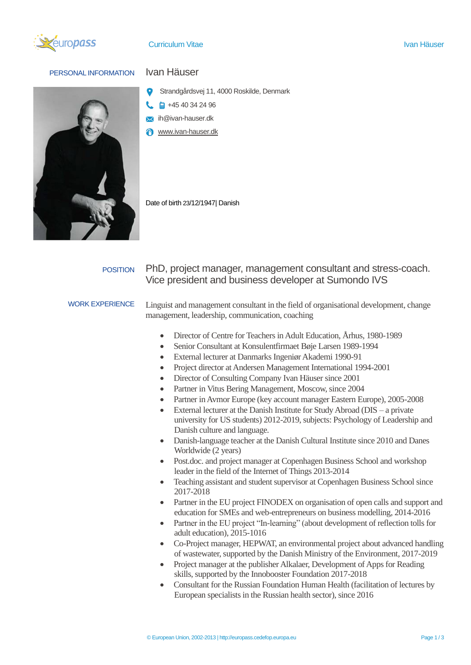

# PERSONAL INFORMATION Ivan Häuser

- Strandgårdsvej 11, 4000 Roskilde, Denmark
- $\Box$  +45 40 34 24 96
- ih@ivan-hauser.dk
- www.ivan-hauser.dk

Date of birth 23/12/1947| Danish

# POSITION PhD, project manager, management consultant and stress-coach. Vice president and business developer at Sumondo IVS

WORK EXPERIENCE Linguist and management consultant in the field of organisational development, change management, leadership, communication, coaching

- Director of Centre for Teachers in Adult Education, Århus, 1980-1989
- Senior Consultant at Konsulentfirmaet Bøje Larsen 1989-1994
- External lecturer at Danmarks Ingeniør Akademi 1990-91
- Project director at Andersen Management International 1994-2001
- Director of Consulting Company Ivan Häuser since 2001
- Partner in Vitus Bering Management, Moscow, since 2004
- Partner in Avmor Europe (key account manager Eastern Europe), 2005-2008
- External lecturer at the Danish Institute for Study Abroad ( $\text{DIS} \text{a}$  private university for US students) 2012-2019, subjects: Psychology of Leadership and Danish culture and language.
- Danish-language teacher at the Danish Cultural Institute since 2010 and Danes Worldwide (2 years)
- Post.doc. and project manager at Copenhagen Business School and workshop leader in the field of the Internet of Things 2013-2014
- Teaching assistant and student supervisor at Copenhagen Business School since 2017-2018
- Partner in the EU project FINODEX on organisation of open calls and support and education for SMEs and web-entrepreneurs on business modelling, 2014-2016
- Partner in the EU project "In-learning" (about development of reflection tolls for adult education), 2015-1016
- Co-Project manager, HEPWAT, an environmental project about advanced handling of wastewater, supported by the Danish Ministry of the Environment, 2017-2019
- Project manager at the publisher Alkalaer, Development of Apps for Reading skills, supported by the Innobooster Foundation 2017-2018
- Consultant for the Russian Foundation Human Health (facilitation of lectures by European specialists in the Russian health sector), since 2016

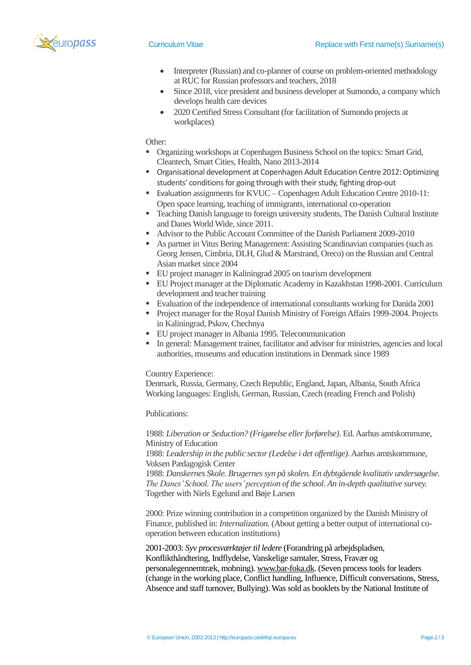

- Interpreter (Russian) and co-planner of course on problem-oriented methodology at RUC for Russian professors and teachers, 2018
- Since 2018, vice president and business developer at Sumondo, a company which develops health care devices
- 2020 Certified Stress Consultant (for facilitation of Sumondo projects at workplaces)

### Other:

- **Organizing workshops at Copenhagen Business School on the topics: Smart Grid,** Cleantech, Smart Cities, Health, Nano 2013-2014
- Organisational development at Copenhagen Adult Education Centre 2012: Optimizing students' conditions for going through with their study, fighting drop-out
- Evaluation assignments for KVUC Copenhagen Adult Education Centre 2010-11: Open space learning, teaching of immigrants, international co-operation
- Teaching Danish language to foreign university students, The Danish Cultural Institute and Danes World Wide, since 2011.
- Advisor to the Public Account Committee of the Danish Parliament 2009-2010
- As partner in Vitus Bering Management: Assisting Scandinavian companies (such as Georg Jensen, Cimbria, DLH, Glud & Marstrand, Oreco) on the Russian and Central Asian market since 2004
- EU project manager in Kaliningrad 2005 on tourism development
- EU Project manager at the Diplomatic Academy in Kazakhstan 1998-2001. Curriculum development and teacher training
- Evaluation of the independence of international consultants working for Danida 2001
- Project manager for the Royal Danish Ministry of Foreign Affairs 1999-2004. Projects in Kaliningrad, Pskov, Chechnya
- EU project manager in Albania 1995. Telecommunication
- In general: Management trainer, facilitator and advisor for ministries, agencies and local authorities, museums and education institutions in Denmark since 1989

### Country Experience:

Denmark, Russia, Germany, Czech Republic, England, Japan, Albania, South Africa Working languages: English, German, Russian, Czech (reading French and Polish)

# Publications:

1988: *Liberation or Seduction? (Frigørelse eller forførelse)*. Ed.Aarhus amtskommune, Ministry of Education

1988: *Leadership in the public sector (Ledelse i det offentlige)*. Aarhus amtskommune, Voksen Pædagogisk Center

1988: *Danskernes Skole. Brugernes syn på skolen. En dybtgående kvalitativ undersøgelse. The Danes' School. The users' perception of the school. An in-depth qualitative survey.* Together with Niels Egelund and Bøje Larsen

2000: Prize winning contribution in a competition organized by the Danish Ministry of Finance, published in: *Internalization.* (About getting a better output of international cooperation between education institutions)

2001-2003: *Syv procesværktøjer til ledere* (Forandring på arbejdspladsen, Konflikthåndtering, Indflydelse, Vanskelige samtaler, Stress, Fravær og personalegennemtræk, mobning)[. www.bar-foka.dk.](http://www.bar-foka.dk/) (Seven process tools for leaders (change in the working place, Conflict handling, Influence, Difficult conversations, Stress, Absence and staff turnover, Bullying). Was sold as booklets by the National Institute of